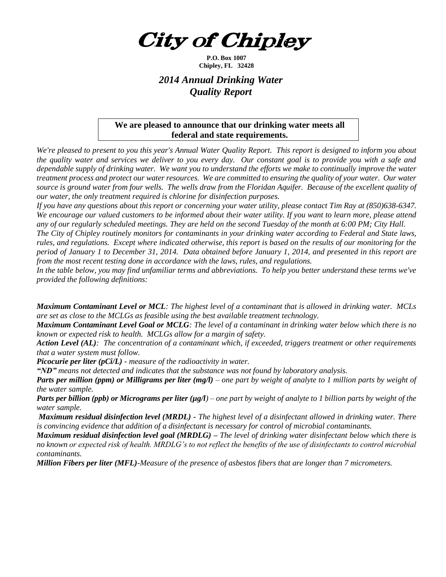*City of Chipley* 

**P.O. Box 1007 Chipley, FL 32428**

## *2014 Annual Drinking Water Quality Report*

## **We are pleased to announce that our drinking water meets all federal and state requirements.**

*We're pleased to present to you this year's Annual Water Quality Report. This report is designed to inform you about the quality water and services we deliver to you every day. Our constant goal is to provide you with a safe and dependable supply of drinking water. We want you to understand the efforts we make to continually improve the water treatment process and protect our water resources. We are committed to ensuring the quality of your water. Our water source is ground water from four wells. The wells draw from the Floridan Aquifer. Because of the excellent quality of our water, the only treatment required is chlorine for disinfection purposes.*

*If you have any questions about this report or concerning your water utility, please contact Tim Ray at (850)638-6347.* *We encourage our valued customers to be informed about their water utility. If you want to learn more, please attend any of our regularly scheduled meetings. They are held on the second Tuesday of the month at 6:00 PM; City Hall.*

*The City of Chipley routinely monitors for contaminants in your drinking water according to Federal and State laws, rules, and regulations. Except where indicated otherwise, this report is based on the results of our monitoring for the period of January 1 to December 31, 2014. Data obtained before January 1, 2014, and presented in this report are from the most recent testing done in accordance with the laws, rules, and regulations.* 

*In the table below, you may find unfamiliar terms and abbreviations. To help you better understand these terms we've provided the following definitions:*

*Maximum Contaminant Level or MCL: The highest level of a contaminant that is allowed in drinking water. MCLs are set as close to the MCLGs as feasible using the best available treatment technology.*

*Maximum Contaminant Level Goal or MCLG: The level of a contaminant in drinking water below which there is no known or expected risk to health. MCLGs allow for a margin of safety.*

*Action Level (AL): The concentration of a contaminant which, if exceeded, triggers treatment or other requirements that a water system must follow.*

*Picocurie per liter (pCi/L) - measure of the radioactivity in water.*

*"ND" means not detected and indicates that the substance was not found by laboratory analysis.*

*Parts per million (ppm) or Milligrams per liter (mg/l) – one part by weight of analyte to 1 million parts by weight of the water sample.*

*Parts per billion (ppb) or Micrograms per liter (µg/l) – one part by weight of analyte to 1 billion parts by weight of the water sample.*

*Maximum residual disinfection level (MRDL) - The highest level of a disinfectant allowed in drinking water. There is convincing evidence that addition of a disinfectant is necessary for control of microbial contaminants.* 

*Maximum residual disinfection level goal (MRDLG) – The level of drinking water disinfectant below which there is no known or expected risk of health. MRDLG's to not reflect the benefits of the use of disinfectants to control microbial contaminants.*

*Million Fibers per liter (MFL)-Measure of the presence of asbestos fibers that are longer than 7 micrometers.*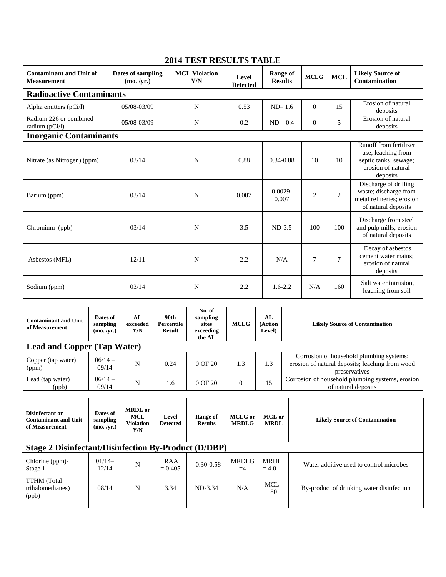| <b>Contaminant and Unit of</b><br><b>Measurement</b> | Dates of sampling<br>(mo. /vr.) | <b>MCL Violation</b><br>Y/N | Level<br><b>Detected</b> | <b>Range of</b><br><b>Results</b> | <b>MCLG</b>    | <b>MCL</b>     | <b>Likely Source of</b><br>Contamination                                                                |  |  |
|------------------------------------------------------|---------------------------------|-----------------------------|--------------------------|-----------------------------------|----------------|----------------|---------------------------------------------------------------------------------------------------------|--|--|
| <b>Radioactive Contaminants</b>                      |                                 |                             |                          |                                   |                |                |                                                                                                         |  |  |
| Alpha emitters (pCi/l)                               | 05/08-03/09                     | N                           | 0.53                     | $ND-1.6$                          | $\Omega$       | 15             | Erosion of natural<br>deposits                                                                          |  |  |
| Radium 226 or combined<br>radium $(pCi/l)$           | 05/08-03/09                     | N                           | 0.2                      | $ND - 0.4$                        | $\overline{0}$ | 5              | Erosion of natural<br>deposits                                                                          |  |  |
| <b>Inorganic Contaminants</b>                        |                                 |                             |                          |                                   |                |                |                                                                                                         |  |  |
| Nitrate (as Nitrogen) (ppm)                          | 03/14                           | N                           | 0.88                     | $0.34 - 0.88$                     | 10             | 10             | Runoff from fertilizer<br>use; leaching from<br>septic tanks, sewage;<br>erosion of natural<br>deposits |  |  |
| Barium (ppm)                                         | 03/14                           | N                           | 0.007                    | $0.0029 -$<br>0.007               | $\overline{2}$ | $\overline{2}$ | Discharge of drilling<br>waste; discharge from<br>metal refineries; erosion<br>of natural deposits      |  |  |
| Chromium (ppb)                                       | 03/14                           | N                           | 3.5                      | $ND-3.5$                          | 100            | 100            | Discharge from steel<br>and pulp mills; erosion<br>of natural deposits                                  |  |  |
| Asbestos (MFL)                                       | 12/11                           | N                           | 2.2                      | N/A                               | $\overline{7}$ | 7              | Decay of asbestos<br>cement water mains;<br>erosion of natural<br>deposits                              |  |  |
| Sodium (ppm)                                         | 03/14                           | N                           | 2.2                      | $1.6 - 2.2$                       | N/A            | 160            | Salt water intrusion,<br>leaching from soil                                                             |  |  |

## **2014 TEST RESULTS TABLE**

| <b>Contaminant and Unit</b><br>of Measurement                    | Dates of<br>sampling<br>(mo. /yr.) | AL<br>exceeded<br>Y/N                            | 90th<br>Percentile<br>Result | No. of<br>sampling<br>sites<br>exceeding<br>the AL | <b>MCLG</b>                    | AL<br>(Action<br>Level) | <b>Likely Source of Contamination</b>                                                                        |  |
|------------------------------------------------------------------|------------------------------------|--------------------------------------------------|------------------------------|----------------------------------------------------|--------------------------------|-------------------------|--------------------------------------------------------------------------------------------------------------|--|
| <b>Lead and Copper (Tap Water)</b>                               |                                    |                                                  |                              |                                                    |                                |                         |                                                                                                              |  |
| Copper (tap water)<br>(ppm)                                      | $06/14-$<br>09/14                  | N                                                | 0.24                         | 0 OF 20                                            | 1.3                            | 1.3                     | Corrosion of household plumbing systems;<br>erosion of natural deposits; leaching from wood<br>preservatives |  |
| Lead (tap water)<br>(ppb)                                        | $06/14-$<br>09/14                  | N                                                | 1.6                          | 0 OF 20                                            | $\Omega$                       | 15                      | Corrosion of household plumbing systems, erosion<br>of natural deposits                                      |  |
| Disinfectant or<br><b>Contaminant and Unit</b><br>of Measurement | Dates of<br>sampling<br>(mo. /yr.) | <b>MRDL</b> or<br>MCL<br><b>Violation</b><br>Y/N | Level<br><b>Detected</b>     | Range of<br><b>Results</b>                         | <b>MCLG</b> or<br><b>MRDLG</b> | MCL or<br><b>MRDL</b>   | <b>Likely Source of Contamination</b>                                                                        |  |
| <b>Stage 2 Disinfectant/Disinfection By-Product (D/DBP)</b>      |                                    |                                                  |                              |                                                    |                                |                         |                                                                                                              |  |
| Chlorine (ppm)-<br>$S_{\text{box}}$ 1                            | $01/14-$<br>12/14                  | N                                                | RAA<br>$-0.405$              | $0.30 - 0.58$                                      | <b>MRDLG</b><br>$-4$           | <b>MRDL</b><br>$-40$    | Water additive used to control microbes                                                                      |  |

| $\beta$ and $\alpha$ is a positive contraction by the value (D/DDI) |                   |   |                  |               |              |                 |                                           |  |
|---------------------------------------------------------------------|-------------------|---|------------------|---------------|--------------|-----------------|-------------------------------------------|--|
| Chlorine (ppm)-<br>Stage 1                                          | $01/14-$<br>12/14 |   | RAA<br>$= 0.405$ | $0.30 - 0.58$ | MRDLG<br>$=$ | MRDL<br>$= 4.0$ | Water additive used to control microbes   |  |
| TTHM (Total<br>trihalomethanes)<br>(ppb)                            | 08/14             | N | 3.34             | ND-3.34       | N/A          | $MCL =$<br>80   | By-product of drinking water disinfection |  |
|                                                                     |                   |   |                  |               |              |                 |                                           |  |